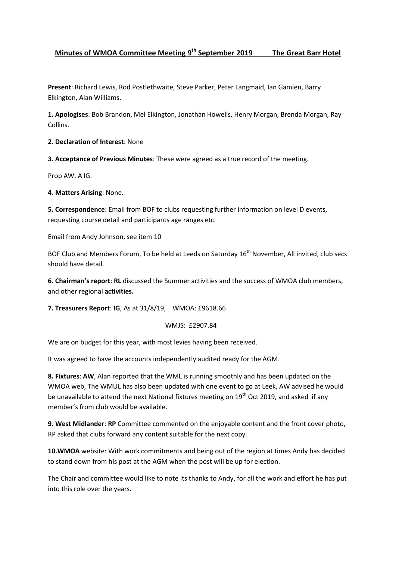## **Minutes of WMOA Committee Meeting 9<sup>th</sup> September 2019 The Great Barr Hotel**

**Present**: Richard Lewis, Rod Postlethwaite, Steve Parker, Peter Langmaid, Ian Gamlen, Barry Elkington, Alan Williams.

**1. Apologises**: Bob Brandon, Mel Elkington, Jonathan Howells, Henry Morgan, Brenda Morgan, Ray Collins.

**2. Declaration of Interest**: None

**3. Acceptance of Previous Minutes**: These were agreed as a true record of the meeting.

Prop AW, A IG.

**4. Matters Arising**: None.

**5. Correspondence**: Email from BOF to clubs requesting further information on level D events, requesting course detail and participants age ranges etc.

Email from Andy Johnson, see item 10

BOF Club and Members Forum, To be held at Leeds on Saturday 16<sup>th</sup> November, All invited, club secs should have detail.

**6. Chairman's report**: **RL** discussed the Summer activities and the success of WMOA club members, and other regional **activities.**

**7. Treasurers Report**: **IG**, As at 31/8/19, WMOA: £9618.66

WMJS: £2907.84

We are on budget for this year, with most levies having been received.

It was agreed to have the accounts independently audited ready for the AGM.

**8. Fixtures**: **AW**, Alan reported that the WML is running smoothly and has been updated on the WMOA web, The WMUL has also been updated with one event to go at Leek, AW advised he would be unavailable to attend the next National fixtures meeting on 19<sup>th</sup> Oct 2019, and asked if any member's from club would be available.

**9. West Midlander**: **RP** Committee commented on the enjoyable content and the front cover photo, RP asked that clubs forward any content suitable for the next copy.

**10.WMOA** website: With work commitments and being out of the region at times Andy has decided to stand down from his post at the AGM when the post will be up for election.

The Chair and committee would like to note its thanks to Andy, for all the work and effort he has put into this role over the years.